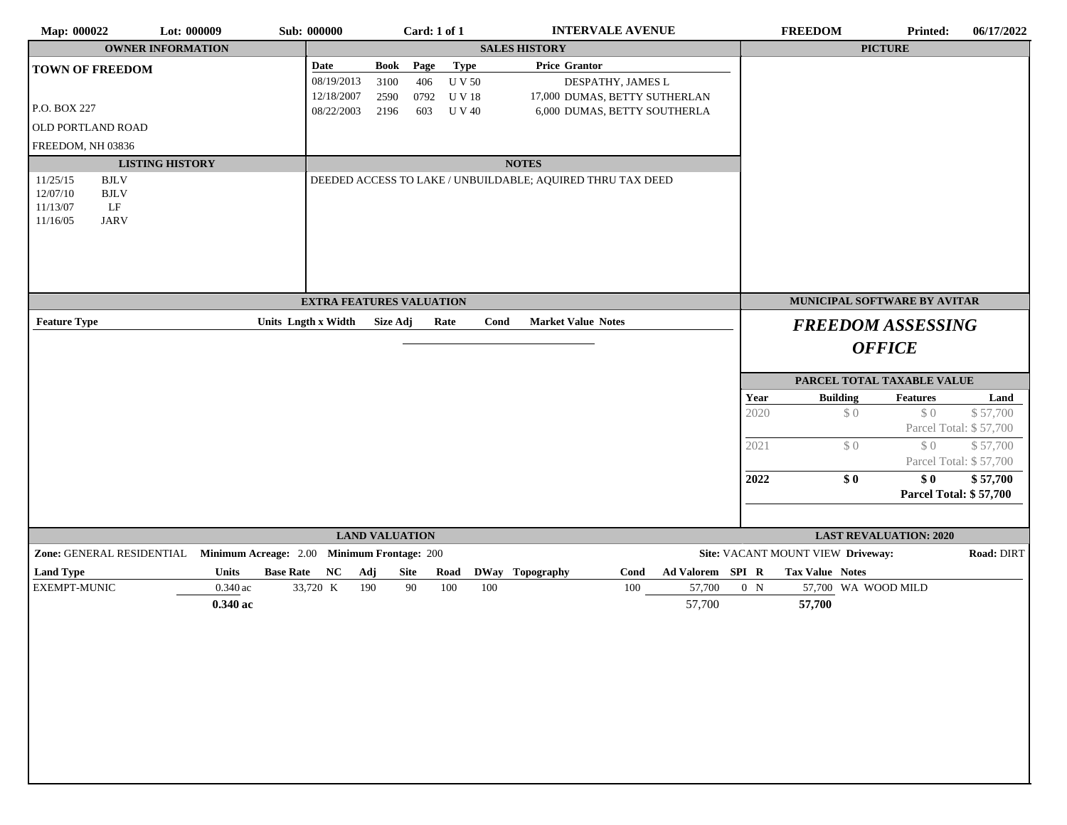| <b>OWNER INFORMATION</b><br><b>SALES HISTORY</b><br><b>PICTURE</b><br>Type<br>Page<br><b>Price Grantor</b><br>Date<br>Book<br><b>TOWN OF FREEDOM</b><br><b>UV 50</b><br>08/19/2013<br>3100<br>406<br>DESPATHY, JAMES L<br>12/18/2007<br>0792 UV18<br>2590<br>17,000 DUMAS, BETTY SUTHERLAN<br>P.O. BOX 227<br>08/22/2003<br>2196<br>603 U V 40<br>6,000 DUMAS, BETTY SOUTHERLA<br>OLD PORTLAND ROAD<br>FREEDOM, NH 03836<br><b>LISTING HISTORY</b><br><b>NOTES</b><br>11/25/15<br><b>BJLV</b><br>DEEDED ACCESS TO LAKE / UNBUILDABLE; AQUIRED THRU TAX DEED<br>12/07/10<br>$\operatorname{BJLV}$<br>11/13/07<br>$\rm LF$<br>11/16/05<br><b>JARV</b><br><b>EXTRA FEATURES VALUATION</b><br>MUNICIPAL SOFTWARE BY AVITAR<br>Units Lngth x Width<br>Rate<br><b>Market Value Notes</b><br><b>Feature Type</b><br>Size Adj<br>Cond<br><b>FREEDOM ASSESSING</b><br><b>OFFICE</b><br>PARCEL TOTAL TAXABLE VALUE<br><b>Building</b><br>Year<br>$\operatorname{\mathbf{Features}}$<br>2020<br>\$0<br>\$0<br>\$0<br>\$0<br>2021<br>\$0<br>\$0<br>2022<br><b>LAND VALUATION</b><br><b>LAST REVALUATION: 2020</b><br>Zone: GENERAL RESIDENTIAL Minimum Acreage: 2.00 Minimum Frontage: 200<br>Site: VACANT MOUNT VIEW Driveway:<br><b>Land Type</b><br>Ad Valorem SPI R<br><b>Tax Value Notes</b><br>Units<br>Base Rate NC Adj<br>Site<br>Road<br>DWay Topography<br>Cond<br>EXEMPT-MUNIC<br>$0.340\,\mathrm{ac}$<br>33,720 K<br>190<br>90<br>100<br>100<br>57,700<br>100<br>0 N<br>57,700 WA WOOD MILD | Land<br>\$57,700<br>Parcel Total: \$57,700<br>\$57,700<br>Parcel Total: \$57,700<br>\$57,700<br><b>Parcel Total: \$57,700</b><br>Road: DIRT<br>57,700<br>$0.340$ ac<br>57,700 | Map: 000022 | Lot: 000009 | <b>Sub: 000000</b> | Card: 1 of 1 |  | <b>INTERVALE AVENUE</b> |  | <b>FREEDOM</b> | <b>Printed:</b> | 06/17/2022 |
|---------------------------------------------------------------------------------------------------------------------------------------------------------------------------------------------------------------------------------------------------------------------------------------------------------------------------------------------------------------------------------------------------------------------------------------------------------------------------------------------------------------------------------------------------------------------------------------------------------------------------------------------------------------------------------------------------------------------------------------------------------------------------------------------------------------------------------------------------------------------------------------------------------------------------------------------------------------------------------------------------------------------------------------------------------------------------------------------------------------------------------------------------------------------------------------------------------------------------------------------------------------------------------------------------------------------------------------------------------------------------------------------------------------------------------------------------------------------------------------------|-------------------------------------------------------------------------------------------------------------------------------------------------------------------------------|-------------|-------------|--------------------|--------------|--|-------------------------|--|----------------|-----------------|------------|
|                                                                                                                                                                                                                                                                                                                                                                                                                                                                                                                                                                                                                                                                                                                                                                                                                                                                                                                                                                                                                                                                                                                                                                                                                                                                                                                                                                                                                                                                                             |                                                                                                                                                                               |             |             |                    |              |  |                         |  |                |                 |            |
|                                                                                                                                                                                                                                                                                                                                                                                                                                                                                                                                                                                                                                                                                                                                                                                                                                                                                                                                                                                                                                                                                                                                                                                                                                                                                                                                                                                                                                                                                             |                                                                                                                                                                               |             |             |                    |              |  |                         |  |                |                 |            |
|                                                                                                                                                                                                                                                                                                                                                                                                                                                                                                                                                                                                                                                                                                                                                                                                                                                                                                                                                                                                                                                                                                                                                                                                                                                                                                                                                                                                                                                                                             |                                                                                                                                                                               |             |             |                    |              |  |                         |  |                |                 |            |
|                                                                                                                                                                                                                                                                                                                                                                                                                                                                                                                                                                                                                                                                                                                                                                                                                                                                                                                                                                                                                                                                                                                                                                                                                                                                                                                                                                                                                                                                                             |                                                                                                                                                                               |             |             |                    |              |  |                         |  |                |                 |            |
|                                                                                                                                                                                                                                                                                                                                                                                                                                                                                                                                                                                                                                                                                                                                                                                                                                                                                                                                                                                                                                                                                                                                                                                                                                                                                                                                                                                                                                                                                             |                                                                                                                                                                               |             |             |                    |              |  |                         |  |                |                 |            |
|                                                                                                                                                                                                                                                                                                                                                                                                                                                                                                                                                                                                                                                                                                                                                                                                                                                                                                                                                                                                                                                                                                                                                                                                                                                                                                                                                                                                                                                                                             |                                                                                                                                                                               |             |             |                    |              |  |                         |  |                |                 |            |
|                                                                                                                                                                                                                                                                                                                                                                                                                                                                                                                                                                                                                                                                                                                                                                                                                                                                                                                                                                                                                                                                                                                                                                                                                                                                                                                                                                                                                                                                                             |                                                                                                                                                                               |             |             |                    |              |  |                         |  |                |                 |            |
|                                                                                                                                                                                                                                                                                                                                                                                                                                                                                                                                                                                                                                                                                                                                                                                                                                                                                                                                                                                                                                                                                                                                                                                                                                                                                                                                                                                                                                                                                             |                                                                                                                                                                               |             |             |                    |              |  |                         |  |                |                 |            |
|                                                                                                                                                                                                                                                                                                                                                                                                                                                                                                                                                                                                                                                                                                                                                                                                                                                                                                                                                                                                                                                                                                                                                                                                                                                                                                                                                                                                                                                                                             |                                                                                                                                                                               |             |             |                    |              |  |                         |  |                |                 |            |
|                                                                                                                                                                                                                                                                                                                                                                                                                                                                                                                                                                                                                                                                                                                                                                                                                                                                                                                                                                                                                                                                                                                                                                                                                                                                                                                                                                                                                                                                                             |                                                                                                                                                                               |             |             |                    |              |  |                         |  |                |                 |            |
|                                                                                                                                                                                                                                                                                                                                                                                                                                                                                                                                                                                                                                                                                                                                                                                                                                                                                                                                                                                                                                                                                                                                                                                                                                                                                                                                                                                                                                                                                             |                                                                                                                                                                               |             |             |                    |              |  |                         |  |                |                 |            |
|                                                                                                                                                                                                                                                                                                                                                                                                                                                                                                                                                                                                                                                                                                                                                                                                                                                                                                                                                                                                                                                                                                                                                                                                                                                                                                                                                                                                                                                                                             |                                                                                                                                                                               |             |             |                    |              |  |                         |  |                |                 |            |
|                                                                                                                                                                                                                                                                                                                                                                                                                                                                                                                                                                                                                                                                                                                                                                                                                                                                                                                                                                                                                                                                                                                                                                                                                                                                                                                                                                                                                                                                                             |                                                                                                                                                                               |             |             |                    |              |  |                         |  |                |                 |            |
|                                                                                                                                                                                                                                                                                                                                                                                                                                                                                                                                                                                                                                                                                                                                                                                                                                                                                                                                                                                                                                                                                                                                                                                                                                                                                                                                                                                                                                                                                             |                                                                                                                                                                               |             |             |                    |              |  |                         |  |                |                 |            |
|                                                                                                                                                                                                                                                                                                                                                                                                                                                                                                                                                                                                                                                                                                                                                                                                                                                                                                                                                                                                                                                                                                                                                                                                                                                                                                                                                                                                                                                                                             |                                                                                                                                                                               |             |             |                    |              |  |                         |  |                |                 |            |
|                                                                                                                                                                                                                                                                                                                                                                                                                                                                                                                                                                                                                                                                                                                                                                                                                                                                                                                                                                                                                                                                                                                                                                                                                                                                                                                                                                                                                                                                                             |                                                                                                                                                                               |             |             |                    |              |  |                         |  |                |                 |            |
|                                                                                                                                                                                                                                                                                                                                                                                                                                                                                                                                                                                                                                                                                                                                                                                                                                                                                                                                                                                                                                                                                                                                                                                                                                                                                                                                                                                                                                                                                             |                                                                                                                                                                               |             |             |                    |              |  |                         |  |                |                 |            |
|                                                                                                                                                                                                                                                                                                                                                                                                                                                                                                                                                                                                                                                                                                                                                                                                                                                                                                                                                                                                                                                                                                                                                                                                                                                                                                                                                                                                                                                                                             |                                                                                                                                                                               |             |             |                    |              |  |                         |  |                |                 |            |
|                                                                                                                                                                                                                                                                                                                                                                                                                                                                                                                                                                                                                                                                                                                                                                                                                                                                                                                                                                                                                                                                                                                                                                                                                                                                                                                                                                                                                                                                                             |                                                                                                                                                                               |             |             |                    |              |  |                         |  |                |                 |            |
|                                                                                                                                                                                                                                                                                                                                                                                                                                                                                                                                                                                                                                                                                                                                                                                                                                                                                                                                                                                                                                                                                                                                                                                                                                                                                                                                                                                                                                                                                             |                                                                                                                                                                               |             |             |                    |              |  |                         |  |                |                 |            |
|                                                                                                                                                                                                                                                                                                                                                                                                                                                                                                                                                                                                                                                                                                                                                                                                                                                                                                                                                                                                                                                                                                                                                                                                                                                                                                                                                                                                                                                                                             |                                                                                                                                                                               |             |             |                    |              |  |                         |  |                |                 |            |
|                                                                                                                                                                                                                                                                                                                                                                                                                                                                                                                                                                                                                                                                                                                                                                                                                                                                                                                                                                                                                                                                                                                                                                                                                                                                                                                                                                                                                                                                                             |                                                                                                                                                                               |             |             |                    |              |  |                         |  |                |                 |            |
|                                                                                                                                                                                                                                                                                                                                                                                                                                                                                                                                                                                                                                                                                                                                                                                                                                                                                                                                                                                                                                                                                                                                                                                                                                                                                                                                                                                                                                                                                             |                                                                                                                                                                               |             |             |                    |              |  |                         |  |                |                 |            |
|                                                                                                                                                                                                                                                                                                                                                                                                                                                                                                                                                                                                                                                                                                                                                                                                                                                                                                                                                                                                                                                                                                                                                                                                                                                                                                                                                                                                                                                                                             |                                                                                                                                                                               |             |             |                    |              |  |                         |  |                |                 |            |
|                                                                                                                                                                                                                                                                                                                                                                                                                                                                                                                                                                                                                                                                                                                                                                                                                                                                                                                                                                                                                                                                                                                                                                                                                                                                                                                                                                                                                                                                                             |                                                                                                                                                                               |             |             |                    |              |  |                         |  |                |                 |            |
|                                                                                                                                                                                                                                                                                                                                                                                                                                                                                                                                                                                                                                                                                                                                                                                                                                                                                                                                                                                                                                                                                                                                                                                                                                                                                                                                                                                                                                                                                             |                                                                                                                                                                               |             |             |                    |              |  |                         |  |                |                 |            |
|                                                                                                                                                                                                                                                                                                                                                                                                                                                                                                                                                                                                                                                                                                                                                                                                                                                                                                                                                                                                                                                                                                                                                                                                                                                                                                                                                                                                                                                                                             |                                                                                                                                                                               |             |             |                    |              |  |                         |  |                |                 |            |
|                                                                                                                                                                                                                                                                                                                                                                                                                                                                                                                                                                                                                                                                                                                                                                                                                                                                                                                                                                                                                                                                                                                                                                                                                                                                                                                                                                                                                                                                                             |                                                                                                                                                                               |             |             |                    |              |  |                         |  |                |                 |            |
|                                                                                                                                                                                                                                                                                                                                                                                                                                                                                                                                                                                                                                                                                                                                                                                                                                                                                                                                                                                                                                                                                                                                                                                                                                                                                                                                                                                                                                                                                             |                                                                                                                                                                               |             |             |                    |              |  |                         |  |                |                 |            |
|                                                                                                                                                                                                                                                                                                                                                                                                                                                                                                                                                                                                                                                                                                                                                                                                                                                                                                                                                                                                                                                                                                                                                                                                                                                                                                                                                                                                                                                                                             |                                                                                                                                                                               |             |             |                    |              |  |                         |  |                |                 |            |
|                                                                                                                                                                                                                                                                                                                                                                                                                                                                                                                                                                                                                                                                                                                                                                                                                                                                                                                                                                                                                                                                                                                                                                                                                                                                                                                                                                                                                                                                                             |                                                                                                                                                                               |             |             |                    |              |  |                         |  |                |                 |            |
|                                                                                                                                                                                                                                                                                                                                                                                                                                                                                                                                                                                                                                                                                                                                                                                                                                                                                                                                                                                                                                                                                                                                                                                                                                                                                                                                                                                                                                                                                             |                                                                                                                                                                               |             |             |                    |              |  |                         |  |                |                 |            |
|                                                                                                                                                                                                                                                                                                                                                                                                                                                                                                                                                                                                                                                                                                                                                                                                                                                                                                                                                                                                                                                                                                                                                                                                                                                                                                                                                                                                                                                                                             |                                                                                                                                                                               |             |             |                    |              |  |                         |  |                |                 |            |
|                                                                                                                                                                                                                                                                                                                                                                                                                                                                                                                                                                                                                                                                                                                                                                                                                                                                                                                                                                                                                                                                                                                                                                                                                                                                                                                                                                                                                                                                                             |                                                                                                                                                                               |             |             |                    |              |  |                         |  |                |                 |            |